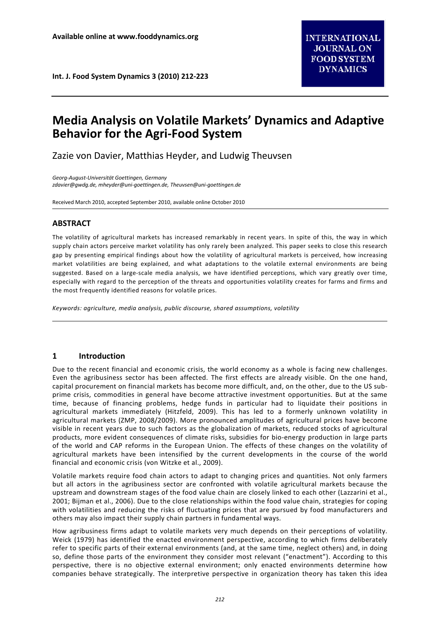**Int. J. Food System Dynamics 3 (2010) 212-223**

# **Media Analysis on Volatile Markets' Dynamics and Adaptive Behavior for the Agri-Food System**

Zazie von Davier, Matthias Heyder, and Ludwig Theuvsen

*Georg-August-Universität Goettingen, Germany zdavier@gwdg.de, mheyder@uni-goettingen.de, Theuvsen@uni-goettingen.de* 

Received March 2010, accepted September 2010, available online October 2010

# **ABSTRACT**

The volatility of agricultural markets has increased remarkably in recent years. In spite of this, the way in which supply chain actors perceive market volatility has only rarely been analyzed. This paper seeks to close this research gap by presenting empirical findings about how the volatility of agricultural markets is perceived, how increasing market volatilities are being explained, and what adaptations to the volatile external environments are being suggested. Based on a large-scale media analysis, we have identified perceptions, which vary greatly over time, especially with regard to the perception of the threats and opportunities volatility creates for farms and firms and the most frequently identified reasons for volatile prices.

*Keywords: agriculture, media analysis, public discourse, shared assumptions, volatility*

## **1 Introduction**

Due to the recent financial and economic crisis, the world economy as a whole is facing new challenges. Even the agribusiness sector has been affected. The first effects are already visible. On the one hand, capital procurement on financial markets has become more difficult, and, on the other, due to the US subprime crisis, commodities in general have become attractive investment opportunities. But at the same time, because of financing problems, hedge funds in particular had to liquidate their positions in agricultural markets immediately (Hitzfeld, 2009). This has led to a formerly unknown volatility in agricultural markets (ZMP, 2008/2009). More pronounced amplitudes of agricultural prices have become visible in recent years due to such factors as the globalization of markets, reduced stocks of agricultural products, more evident consequences of climate risks, subsidies for bio-energy production in large parts of the world and CAP reforms in the European Union. The effects of these changes on the volatility of agricultural markets have been intensified by the current developments in the course of the world financial and economic crisis (von Witzke et al., 2009).

Volatile markets require food chain actors to adapt to changing prices and quantities. Not only farmers but all actors in the agribusiness sector are confronted with volatile agricultural markets because the upstream and downstream stages of the food value chain are closely linked to each other (Lazzarini et al., 2001; Bijman et al., 2006). Due to the close relationships within the food value chain, strategies for coping with volatilities and reducing the risks of fluctuating prices that are pursued by food manufacturers and others may also impact their supply chain partners in fundamental ways.

How agribusiness firms adapt to volatile markets very much depends on their perceptions of volatility. Weick (1979) has identified the enacted environment perspective, according to which firms deliberately refer to specific parts of their external environments (and, at the same time, neglect others) and, in doing so, define those parts of the environment they consider most relevant ("enactment"). According to this perspective, there is no objective external environment; only enacted environments determine how companies behave strategically. The interpretive perspective in organization theory has taken this idea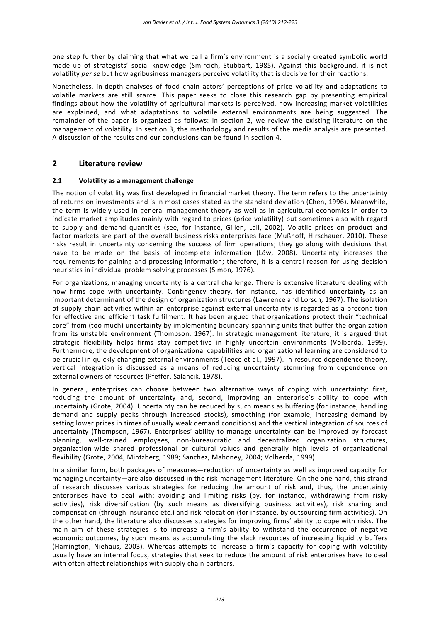one step further by claiming that what we call a firm's environment is a socially created symbolic world made up of strategists' social knowledge (Smircich, Stubbart, 1985). Against this background, it is not volatility *per se* but how agribusiness managers perceive volatility that is decisive for their reactions.

Nonetheless, in-depth analyses of food chain actors' perceptions of price volatility and adaptations to volatile markets are still scarce. This paper seeks to close this research gap by presenting empirical findings about how the volatility of agricultural markets is perceived, how increasing market volatilities are explained, and what adaptations to volatile external environments are being suggested. The remainder of the paper is organized as follows: In section 2, we review the existing literature on the management of volatility. In section 3, the methodology and results of the media analysis are presented. A discussion of the results and our conclusions can be found in section 4.

# **2 Literature review**

## **2.1 Volatility as a management challenge**

The notion of volatility was first developed in financial market theory. The term refers to the uncertainty of returns on investments and is in most cases stated as the standard deviation (Chen, 1996). Meanwhile, the term is widely used in general management theory as well as in agricultural economics in order to indicate market amplitudes mainly with regard to prices (price volatility) but sometimes also with regard to supply and demand quantities (see, for instance, Gillen, Lall, 2002). Volatile prices on product and factor markets are part of the overall business risks enterprises face (Mußhoff, Hirschauer, 2010). These risks result in uncertainty concerning the success of firm operations; they go along with decisions that have to be made on the basis of incomplete information (Löw, 2008). Uncertainty increases the requirements for gaining and processing information; therefore, it is a central reason for using decision heuristics in individual problem solving processes (Simon, 1976).

For organizations, managing uncertainty is a central challenge. There is extensive literature dealing with how firms cope with uncertainty. Contingency theory, for instance, has identified uncertainty as an important determinant of the design of organization structures (Lawrence and Lorsch, 1967). The isolation of supply chain activities within an enterprise against external uncertainty is regarded as a precondition for effective and efficient task fulfilment. It has been argued that organizations protect their "technical core" from (too much) uncertainty by implementing boundary-spanning units that buffer the organization from its unstable environment (Thompson, 1967). In strategic management literature, it is argued that strategic flexibility helps firms stay competitive in highly uncertain environments (Volberda, 1999). Furthermore, the development of organizational capabilities and organizational learning are considered to be crucial in quickly changing external environments (Teece et al., 1997). In resource dependence theory, vertical integration is discussed as a means of reducing uncertainty stemming from dependence on external owners of resources (Pfeffer, Salancik, 1978).

In general, enterprises can choose between two alternative ways of coping with uncertainty: first, reducing the amount of uncertainty and, second, improving an enterprise's ability to cope with uncertainty (Grote, 2004). Uncertainty can be reduced by such means as buffering (for instance, handling demand and supply peaks through increased stocks), smoothing (for example, increasing demand by setting lower prices in times of usually weak demand conditions) and the vertical integration of sources of uncertainty (Thompson, 1967). Enterprises' ability to manage uncertainty can be improved by forecast planning, well-trained employees, non-bureaucratic and decentralized organization structures, organization-wide shared professional or cultural values and generally high levels of organizational flexibility (Grote, 2004; Mintzberg, 1989; Sanchez, Mahoney, 2004; Volberda, 1999).

In a similar form, both packages of measures—reduction of uncertainty as well as improved capacity for managing uncertainty—are also discussed in the risk-management literature. On the one hand, this strand of research discusses various strategies for reducing the amount of risk and, thus, the uncertainty enterprises have to deal with: avoiding and limiting risks (by, for instance, withdrawing from risky activities), risk diversification (by such means as diversifying business activities), risk sharing and compensation (through insurance etc.) and risk relocation (for instance, by outsourcing firm activities). On the other hand, the literature also discusses strategies for improving firms' ability to cope with risks. The main aim of these strategies is to increase a firm's ability to withstand the occurrence of negative economic outcomes, by such means as accumulating the slack resources of increasing liquidity buffers (Harrington, Niehaus, 2003). Whereas attempts to increase a firm's capacity for coping with volatility usually have an internal focus, strategies that seek to reduce the amount of risk enterprises have to deal with often affect relationships with supply chain partners.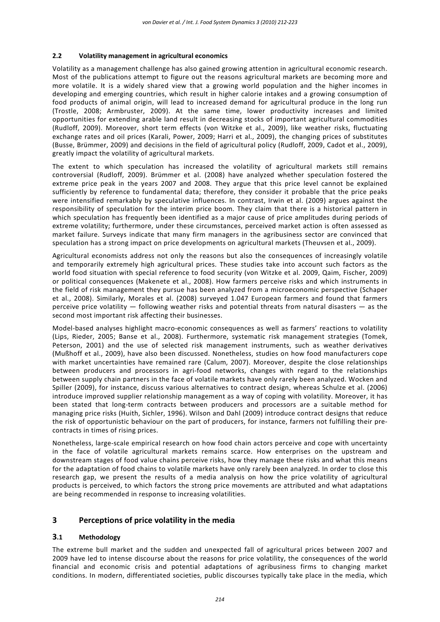#### **2.2 Volatility management in agricultural economics**

Volatility as a management challenge has also gained growing attention in agricultural economic research. Most of the publications attempt to figure out the reasons agricultural markets are becoming more and more volatile. It is a widely shared view that a growing world population and the higher incomes in developing and emerging countries, which result in higher calorie intakes and a growing consumption of food products of animal origin, will lead to increased demand for agricultural produce in the long run (Trostle, 2008; Armbruster, 2009). At the same time, lower productivity increases and limited opportunities for extending arable land result in decreasing stocks of important agricultural commodities (Rudloff, 2009). Moreover, short term effects (von Witzke et al., 2009), like weather risks, fluctuating exchange rates and oil prices (Karali, Power, 2009; Harri et al., 2009), the changing prices of substitutes (Busse, Brümmer, 2009) and decisions in the field of agricultural policy (Rudloff, 2009, Cadot et al., 2009), greatly impact the volatility of agricultural markets.

The extent to which speculation has increased the volatility of agricultural markets still remains controversial (Rudloff, 2009). Brümmer et al. (2008) have analyzed whether speculation fostered the extreme price peak in the years 2007 and 2008. They argue that this price level cannot be explained sufficiently by reference to fundamental data; therefore, they consider it probable that the price peaks were intensified remarkably by speculative influences. In contrast, Irwin et al. (2009) argues against the responsibility of speculation for the interim price boom. They claim that there is a historical pattern in which speculation has frequently been identified as a major cause of price amplitudes during periods of extreme volatility; furthermore, under these circumstances, perceived market action is often assessed as market failure. Surveys indicate that many firm managers in the agribusiness sector are convinced that speculation has a strong impact on price developments on agricultural markets (Theuvsen et al., 2009).

Agricultural economists address not only the reasons but also the consequences of increasingly volatile and temporarily extremely high agricultural prices. These studies take into account such factors as the world food situation with special reference to food security (von Witzke et al. 2009, Qaim, Fischer, 2009) or political consequences (Makenete et al., 2008). How farmers perceive risks and which instruments in the field of risk management they pursue has been analyzed from a microeconomic perspective (Schaper et al., 2008). Similarly, Morales et al. (2008) surveyed 1.047 European farmers and found that farmers perceive price volatility — following weather risks and potential threats from natural disasters — as the second most important risk affecting their businesses.

Model-based analyses highlight macro-economic consequences as well as farmers' reactions to volatility (Lips, Rieder, 2005; Banse et al., 2008). Furthermore, systematic risk management strategies (Tomek, Peterson, 2001) and the use of selected risk management instruments, such as weather derivatives (Mußhoff et al., 2009), have also been discussed. Nonetheless, studies on how food manufacturers cope with market uncertainties have remained rare (Calum, 2007). Moreover, despite the close relationships between producers and processors in agri-food networks, changes with regard to the relationships between supply chain partners in the face of volatile markets have only rarely been analyzed. Wocken and Spiller (2009), for instance, discuss various alternatives to contract design, whereas Schulze et al. (2006) introduce improved supplier relationship management as a way of coping with volatility. Moreover, it has been stated that long-term contracts between producers and processors are a suitable method for managing price risks (Huith, Sichler, 1996). Wilson and Dahl (2009) introduce contract designs that reduce the risk of opportunistic behaviour on the part of producers, for instance, farmers not fulfilling their precontracts in times of rising prices.

Nonetheless, large-scale empirical research on how food chain actors perceive and cope with uncertainty in the face of volatile agricultural markets remains scarce. How enterprises on the upstream and downstream stages of food value chains perceive risks, how they manage these risks and what this means for the adaptation of food chains to volatile markets have only rarely been analyzed. In order to close this research gap, we present the results of a media analysis on how the price volatility of agricultural products is perceived, to which factors the strong price movements are attributed and what adaptations are being recommended in response to increasing volatilities.

## **3 Perceptions of price volatility in the media**

## **3.1 Methodology**

The extreme bull market and the sudden and unexpected fall of agricultural prices between 2007 and 2009 have led to intense discourse about the reasons for price volatility, the consequences of the world financial and economic crisis and potential adaptations of agribusiness firms to changing market conditions. In modern, differentiated societies, public discourses typically take place in the media, which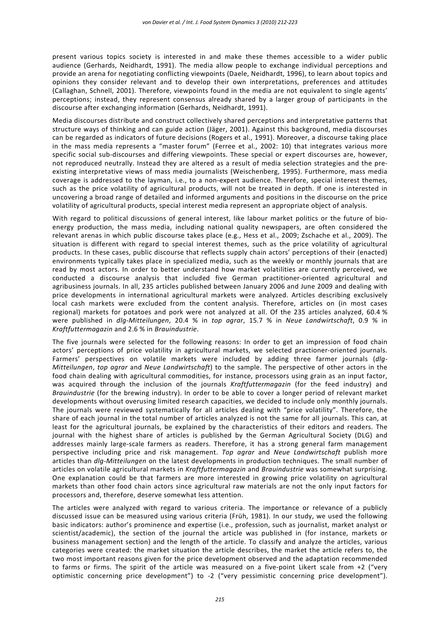present various topics society is interested in and make these themes accessible to a wider public audience (Gerhards, Neidhardt, 1991). The media allow people to exchange individual perceptions and provide an arena for negotiating conflicting viewpoints (Daele, Neidhardt, 1996), to learn about topics and opinions they consider relevant and to develop their own interpretations, preferences and attitudes (Callaghan, Schnell, 2001). Therefore, viewpoints found in the media are not equivalent to single agents' perceptions; instead, they represent consensus already shared by a larger group of participants in the discourse after exchanging information (Gerhards, Neidhardt, 1991).

Media discourses distribute and construct collectively shared perceptions and interpretative patterns that structure ways of thinking and can guide action (Jäger, 2001). Against this background, media discourses can be regarded as indicators of future decisions (Rogers et al., 1991). Moreover, a discourse taking place in the mass media represents a "master forum" (Ferree et al., 2002: 10) that integrates various more specific social sub-discourses and differing viewpoints. These special or expert discourses are, however, not reproduced neutrally. Instead they are altered as a result of media selection strategies and the preexisting interpretative views of mass media journalists (Weischenberg, 1995). Furthermore, mass media coverage is addressed to the layman, i.e., to a non-expert audience. Therefore, special interest themes, such as the price volatility of agricultural products, will not be treated in depth. If one is interested in uncovering a broad range of detailed and informed arguments and positions in the discourse on the price volatility of agricultural products, special interest media represent an appropriate object of analysis.

With regard to political discussions of general interest, like labour market politics or the future of bioenergy production, the mass media, including national quality newspapers, are often considered the relevant arenas in which public discourse takes place (e.g., Hess et al., 2009; Zschache et al., 2009). The situation is different with regard to special interest themes, such as the price volatility of agricultural products. In these cases, public discourse that reflects supply chain actors' perceptions of their (enacted) environments typically takes place in specialized media, such as the weekly or monthly journals that are read by most actors. In order to better understand how market volatilities are currently perceived, we conducted a discourse analysis that included five German practitioner-oriented agricultural and agribusiness journals. In all, 235 articles published between January 2006 and June 2009 and dealing with price developments in international agricultural markets were analyzed. Articles describing exclusively local cash markets were excluded from the content analysis. Therefore, articles on (in most cases regional) markets for potatoes and pork were not analyzed at all. Of the 235 articles analyzed, 60.4 % were published in *dlg-Mitteilungen*, 20.4 % in *top agrar*, 15.7 % in *Neue Landwirtschaft*, 0.9 % in *Kraftfuttermagazin* and 2.6 % in *Brauindustrie*.

The five journals were selected for the following reasons: In order to get an impression of food chain actors' perceptions of price volatility in agricultural markets, we selected practioner-oriented journals. Farmers' perspectives on volatile markets were included by adding three farmer journals (*dlg-Mitteilungen*, *top agrar* and *Neue Landwirtschaft*) to the sample. The perspective of other actors in the food chain dealing with agricultural commodities, for instance, processors using grain as an input factor, was acquired through the inclusion of the journals *Kraftfuttermagazin* (for the feed industry) and *Brauindustrie* (for the brewing industry). In order to be able to cover a longer period of relevant market developments without overusing limited research capacities, we decided to include only monthly journals. The journals were reviewed systematically for all articles dealing with "price volatility". Therefore, the share of each journal in the total number of articles analyzed is not the same for all journals. This can, at least for the agricultural journals, be explained by the characteristics of their editors and readers. The journal with the highest share of articles is published by the German Agricultural Society (DLG) and addresses mainly large-scale farmers as readers. Therefore, it has a strong general farm management perspective including price and risk management. *Top agrar* and *Neue Landwirtschaft* publish more articles than *dlg-Mitteilungen* on the latest developments in production techniques. The small number of articles on volatile agricultural markets in *Kraftfuttermagazin* and *Brauindustrie* was somewhat surprising. One explanation could be that farmers are more interested in growing price volatility on agricultural markets than other food chain actors since agricultural raw materials are not the only input factors for processors and, therefore, deserve somewhat less attention.

The articles were analyzed with regard to various criteria. The importance or relevance of a publicly discussed issue can be measured using various criteria (Früh, 1981). In our study, we used the following basic indicators: author's prominence and expertise (i.e., profession, such as journalist, market analyst or scientist/academic), the section of the journal the article was published in (for instance, markets or business management section) and the length of the article. To classify and analyze the articles, various categories were created: the market situation the article describes, the market the article refers to, the two most important reasons given for the price development observed and the adaptation recommended to farms or firms. The spirit of the article was measured on a five-point Likert scale from +2 ("very optimistic concerning price development") to -2 ("very pessimistic concerning price development").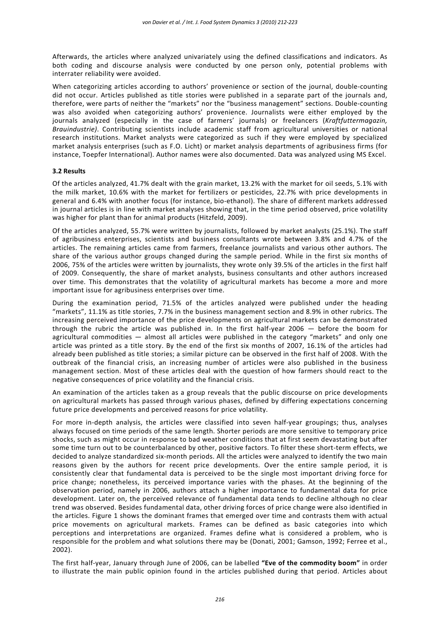Afterwards, the articles where analyzed univariately using the defined classifications and indicators. As both coding and discourse analysis were conducted by one person only, potential problems with interrater reliability were avoided.

When categorizing articles according to authors' provenience or section of the journal, double-counting did not occur. Articles published as title stories were published in a separate part of the journals and, therefore, were parts of neither the "markets" nor the "business management" sections. Double-counting was also avoided when categorizing authors' provenience. Journalists were either employed by the journals analyzed (especially in the case of farmers' journals) or freelancers (*Kraftfuttermagazin, Brauindustrie)*. Contributing scientists include academic staff from agricultural universities or national research institutions. Market analysts were categorized as such if they were employed by specialized market analysis enterprises (such as F.O. Licht) or market analysis departments of agribusiness firms (for instance, Toepfer International). Author names were also documented. Data was analyzed using MS Excel.

#### **3.2 Results**

Of the articles analyzed, 41.7% dealt with the grain market, 13.2% with the market for oil seeds, 5.1% with the milk market, 10.6% with the market for fertilizers or pesticides, 22.7% with price developments in general and 6.4% with another focus (for instance, bio-ethanol). The share of different markets addressed in journal articles is in line with market analyses showing that, in the time period observed, price volatility was higher for plant than for animal products (Hitzfeld, 2009).

Of the articles analyzed, 55.7% were written by journalists, followed by market analysts (25.1%). The staff of agribusiness enterprises, scientists and business consultants wrote between 3.8% and 4.7% of the articles. The remaining articles came from farmers, freelance journalists and various other authors. The share of the various author groups changed during the sample period. While in the first six months of 2006, 75% of the articles were written by journalists, they wrote only 39.5% of the articles in the first half of 2009. Consequently, the share of market analysts, business consultants and other authors increased over time. This demonstrates that the volatility of agricultural markets has become a more and more important issue for agribusiness enterprises over time.

During the examination period, 71.5% of the articles analyzed were published under the heading "markets", 11.1% as title stories, 7.7% in the business management section and 8.9% in other rubrics. The increasing perceived importance of the price developments on agricultural markets can be demonstrated through the rubric the article was published in. In the first half-year 2006 — before the boom for agricultural commodities — almost all articles were published in the category "markets" and only one article was printed as a title story. By the end of the first six months of 2007, 16.1% of the articles had already been published as title stories; a similar picture can be observed in the first half of 2008. With the outbreak of the financial crisis, an increasing number of articles were also published in the business management section. Most of these articles deal with the question of how farmers should react to the negative consequences of price volatility and the financial crisis.

An examination of the articles taken as a group reveals that the public discourse on price developments on agricultural markets has passed through various phases, defined by differing expectations concerning future price developments and perceived reasons for price volatility.

For more in-depth analysis, the articles were classified into seven half-year groupings; thus, analyses always focused on time periods of the same length. Shorter periods are more sensitive to temporary price shocks, such as might occur in response to bad weather conditions that at first seem devastating but after some time turn out to be counterbalanced by other, positive factors. To filter these short-term effects, we decided to analyze standardized six-month periods. All the articles were analyzed to identify the two main reasons given by the authors for recent price developments. Over the entire sample period, it is consistently clear that fundamental data is perceived to be the single most important driving force for price change; nonetheless, its perceived importance varies with the phases. At the beginning of the observation period, namely in 2006, authors attach a higher importance to fundamental data for price development. Later on, the perceived relevance of fundamental data tends to decline although no clear trend was observed. Besides fundamental data, other driving forces of price change were also identified in the articles. Figure 1 shows the dominant frames that emerged over time and contrasts them with actual price movements on agricultural markets. Frames can be defined as basic categories into which perceptions and interpretations are organized. Frames define what is considered a problem, who is responsible for the problem and what solutions there may be (Donati, 2001; Gamson, 1992; Ferree et al., 2002).

The first half-year, January through June of 2006, can be labelled **"Eve of the commodity boom"** in order to illustrate the main public opinion found in the articles published during that period. Articles about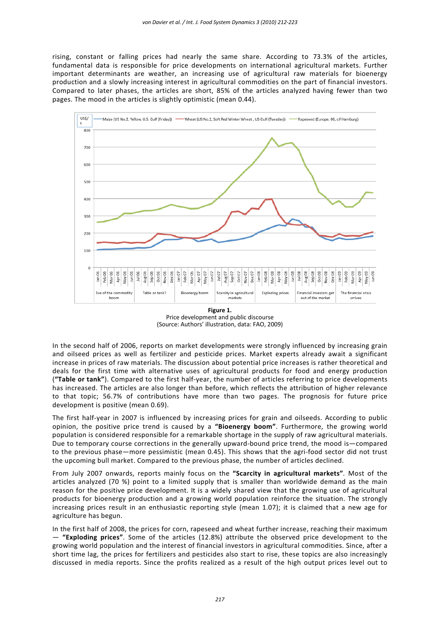rising, constant or falling prices had nearly the same share. According to 73.3% of the articles, fundamental data is responsible for price developments on international agricultural markets. Further important determinants are weather, an increasing use of agricultural raw materials for bioenergy production and a slowly increasing interest in agricultural commodities on the part of financial investors. Compared to later phases, the articles are short, 85% of the articles analyzed having fewer than two pages. The mood in the articles is slightly optimistic (mean 0.44).



**Figure 1.**  Price development and public discourse (Source: Authors' illustration, data: FAO, 2009)

In the second half of 2006, reports on market developments were strongly influenced by increasing grain and oilseed prices as well as fertilizer and pesticide prices. Market experts already await a significant increase in prices of raw materials. The discussion about potential price increases is rather theoretical and deals for the first time with alternative uses of agricultural products for food and energy production (**"Table or tank"**). Compared to the first half-year, the number of articles referring to price developments has increased. The articles are also longer than before, which reflects the attribution of higher relevance to that topic; 56.7% of contributions have more than two pages. The prognosis for future price development is positive (mean 0.69).

The first half-year in 2007 is influenced by increasing prices for grain and oilseeds. According to public opinion, the positive price trend is caused by a **"Bioenergy boom"**. Furthermore, the growing world population is considered responsible for a remarkable shortage in the supply of raw agricultural materials. Due to temporary course corrections in the generally upward-bound price trend, the mood is—compared to the previous phase—more pessimistic (mean 0.45). This shows that the agri-food sector did not trust the upcoming bull market. Compared to the previous phase, the number of articles declined.

From July 2007 onwards, reports mainly focus on the **"Scarcity in agricultural markets"**. Most of the articles analyzed (70 %) point to a limited supply that is smaller than worldwide demand as the main reason for the positive price development. It is a widely shared view that the growing use of agricultural products for bioenergy production and a growing world population reinforce the situation. The strongly increasing prices result in an enthusiastic reporting style (mean 1.07); it is claimed that a new age for agriculture has begun.

In the first half of 2008, the prices for corn, rapeseed and wheat further increase, reaching their maximum — **"Exploding prices"**. Some of the articles (12.8%) attribute the observed price development to the growing world population and the interest of financial investors in agricultural commodities. Since, after a short time lag, the prices for fertilizers and pesticides also start to rise, these topics are also increasingly discussed in media reports. Since the profits realized as a result of the high output prices level out to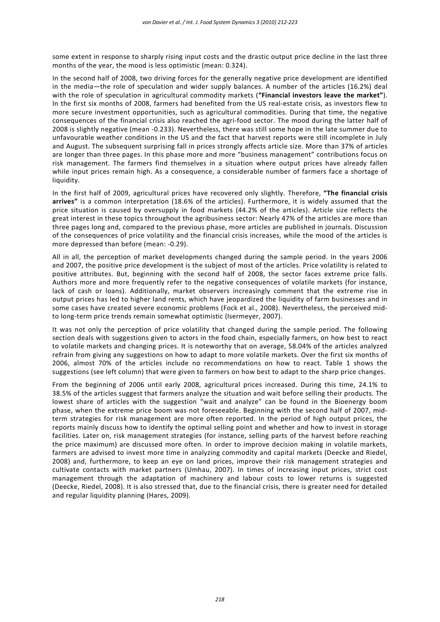some extent in response to sharply rising input costs and the drastic output price decline in the last three months of the year, the mood is less optimistic (mean: 0.324).

In the second half of 2008, two driving forces for the generally negative price development are identified in the media—the role of speculation and wider supply balances. A number of the articles (16.2%) deal with the role of speculation in agricultural commodity markets (**"Financial investors leave the market"**). In the first six months of 2008, farmers had benefited from the US real-estate crisis, as investors flew to more secure investment opportunities, such as agricultural commodities. During that time, the negative consequences of the financial crisis also reached the agri-food sector. The mood during the latter half of 2008 is slightly negative (mean -0.233). Nevertheless, there was still some hope in the late summer due to unfavourable weather conditions in the US and the fact that harvest reports were still incomplete in July and August. The subsequent surprising fall in prices strongly affects article size. More than 37% of articles are longer than three pages. In this phase more and more "business management" contributions focus on risk management. The farmers find themselves in a situation where output prices have already fallen while input prices remain high. As a consequence, a considerable number of farmers face a shortage of liquidity.

In the first half of 2009, agricultural prices have recovered only slightly. Therefore, **"The financial crisis arrives"** is a common interpretation (18.6% of the articles). Furthermore, it is widely assumed that the price situation is caused by oversupply in food markets (44.2% of the articles). Article size reflects the great interest in these topics throughout the agribusiness sector: Nearly 47% of the articles are more than three pages long and, compared to the previous phase, more articles are published in journals. Discussion of the consequences of price volatility and the financial crisis increases, while the mood of the articles is more depressed than before (mean: -0.29).

All in all, the perception of market developments changed during the sample period. In the years 2006 and 2007, the positive price development is the subject of most of the articles. Price volatility is related to positive attributes. But, beginning with the second half of 2008, the sector faces extreme price falls. Authors more and more frequently refer to the negative consequences of volatile markets (for instance, lack of cash or loans). Additionally, market observers increasingly comment that the extreme rise in output prices has led to higher land rents, which have jeopardized the liquidity of farm businesses and in some cases have created severe economic problems (Fock et al., 2008). Nevertheless, the perceived midto long-term price trends remain somewhat optimistic (Isermeyer, 2007).

It was not only the perception of price volatility that changed during the sample period. The following section deals with suggestions given to actors in the food chain, especially farmers, on how best to react to volatile markets and changing prices. It is noteworthy that on average, 58.04% of the articles analyzed refrain from giving any suggestions on how to adapt to more volatile markets. Over the first six months of 2006, almost 70% of the articles include no recommendations on how to react. Table 1 shows the suggestions (see left column) that were given to farmers on how best to adapt to the sharp price changes.

From the beginning of 2006 until early 2008, agricultural prices increased. During this time, 24.1% to 38.5% of the articles suggest that farmers analyze the situation and wait before selling their products. The lowest share of articles with the suggestion "wait and analyze" can be found in the Bioenergy boom phase, when the extreme price boom was not foreseeable. Beginning with the second half of 2007, midterm strategies for risk management are more often reported. In the period of high output prices, the reports mainly discuss how to identify the optimal selling point and whether and how to invest in storage facilities. Later on, risk management strategies (for instance, selling parts of the harvest before reaching the price maximum) are discussed more often. In order to improve decision making in volatile markets, farmers are advised to invest more time in analyzing commodity and capital markets (Deecke and Riedel, 2008) and, furthermore, to keep an eye on land prices, improve their risk management strategies and cultivate contacts with market partners (Umhau, 2007). In times of increasing input prices, strict cost management through the adaptation of machinery and labour costs to lower returns is suggested (Deecke, Riedel, 2008). It is also stressed that, due to the financial crisis, there is greater need for detailed and regular liquidity planning (Hares, 2009).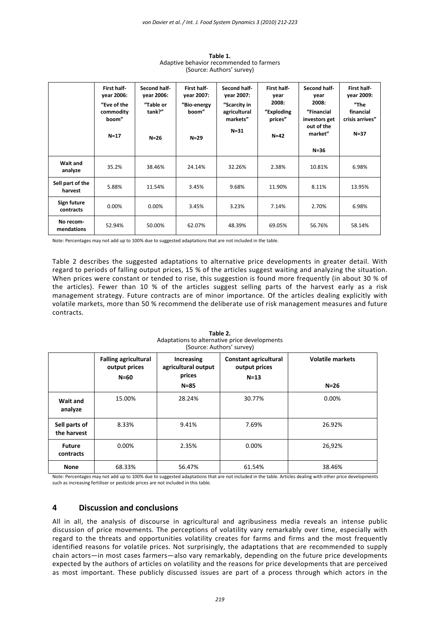|                             | First half-<br>vear 2006:<br>"Eve of the<br>commodity<br>boom"<br>$N=17$ | Second half-<br>year 2006:<br>"Table or<br>tank?"<br>$N=26$ | First half<br>vear 2007:<br>"Bio-energy<br>boom"<br>$N=29$ | Second half-<br>vear 2007:<br>"Scarcity in<br>agricultural<br>markets"<br>$N = 31$ | First half<br>year<br>2008:<br>"Exploding<br>prices"<br>$N=42$ | Second half-<br>year<br>2008:<br>"Financial<br>investors get<br>out of the<br>market" | First half<br>vear 2009:<br>"The<br>financial<br>crisis arrives"<br>$N=37$ |
|-----------------------------|--------------------------------------------------------------------------|-------------------------------------------------------------|------------------------------------------------------------|------------------------------------------------------------------------------------|----------------------------------------------------------------|---------------------------------------------------------------------------------------|----------------------------------------------------------------------------|
|                             |                                                                          |                                                             |                                                            |                                                                                    |                                                                | $N = 36$                                                                              |                                                                            |
| Wait and<br>analyze         | 35.2%                                                                    | 38.46%                                                      | 24.14%                                                     | 32.26%                                                                             | 2.38%                                                          | 10.81%                                                                                | 6.98%                                                                      |
| Sell part of the<br>harvest | 5.88%                                                                    | 11.54%                                                      | 3.45%                                                      | 9.68%                                                                              | 11.90%                                                         | 8.11%                                                                                 | 13.95%                                                                     |
| Sign future<br>contracts    | 0.00%                                                                    | 0.00%                                                       | 3.45%                                                      | 3.23%                                                                              | 7.14%                                                          | 2.70%                                                                                 | 6.98%                                                                      |
| No recom-<br>mendations     | 52.94%                                                                   | 50.00%                                                      | 62.07%                                                     | 48.39%                                                                             | 69.05%                                                         | 56.76%                                                                                | 58.14%                                                                     |

**Table 1.**  Adaptive behavior recommended to farmers (Source: Authors' survey)

Note: Percentages may not add up to 100% due to suggested adaptations that are not included in the table.

Table 2 describes the suggested adaptations to alternative price developments in greater detail. With regard to periods of falling output prices, 15 % of the articles suggest waiting and analyzing the situation. When prices were constant or tended to rise, this suggestion is found more frequently (in about 30 % of the articles). Fewer than 10 % of the articles suggest selling parts of the harvest early as a risk management strategy. Future contracts are of minor importance. Of the articles dealing explicitly with volatile markets, more than 50 % recommend the deliberate use of risk management measures and future contracts.

| (Source: Authors Survey)     |                                                        |                                                         |                                                         |                                   |  |  |  |  |
|------------------------------|--------------------------------------------------------|---------------------------------------------------------|---------------------------------------------------------|-----------------------------------|--|--|--|--|
|                              | <b>Falling agricultural</b><br>output prices<br>$N=60$ | Increasing<br>agricultural output<br>prices<br>$N = 85$ | <b>Constant agricultural</b><br>output prices<br>$N=13$ | <b>Volatile markets</b><br>$N=26$ |  |  |  |  |
| Wait and<br>analyze          | 15.00%                                                 | 28.24%                                                  | 30.77%                                                  | 0.00%                             |  |  |  |  |
| Sell parts of<br>the harvest | 8.33%                                                  | 9.41%                                                   | 7.69%                                                   | 26.92%                            |  |  |  |  |
| <b>Future</b><br>contracts   | 0.00%                                                  | 2.35%                                                   | 0.00%                                                   | 26,92%                            |  |  |  |  |
| <b>None</b>                  | 68.33%                                                 | 56.47%                                                  | 61.54%                                                  | 38.46%                            |  |  |  |  |

**Table 2.**  Adaptations to alternative price developments (Source: Authors' survey)

Note: Percentages may not add up to 100% due to suggested adaptations that are not included in the table. Articles dealing with other price developments such as increasing fertiliser or pesticide prices are not included in this table.

## **4 Discussion and conclusions**

All in all, the analysis of discourse in agricultural and agribusiness media reveals an intense public discussion of price movements. The perceptions of volatility vary remarkably over time, especially with regard to the threats and opportunities volatility creates for farms and firms and the most frequently identified reasons for volatile prices. Not surprisingly, the adaptations that are recommended to supply chain actors—in most cases farmers—also vary remarkably, depending on the future price developments expected by the authors of articles on volatility and the reasons for price developments that are perceived as most important. These publicly discussed issues are part of a process through which actors in the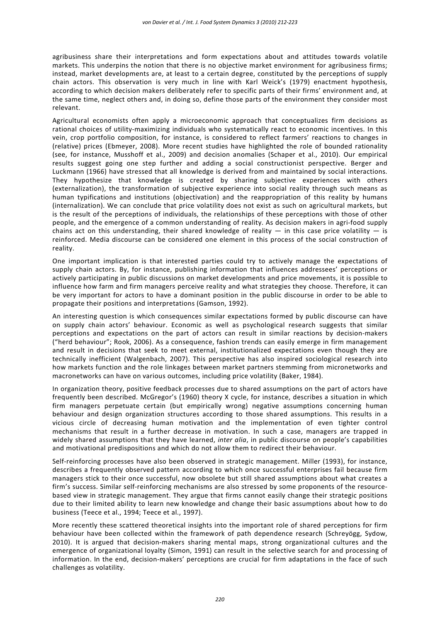agribusiness share their interpretations and form expectations about and attitudes towards volatile markets. This underpins the notion that there is no objective market environment for agribusiness firms; instead, market developments are, at least to a certain degree, constituted by the perceptions of supply chain actors. This observation is very much in line with Karl Weick's (1979) enactment hypothesis, according to which decision makers deliberately refer to specific parts of their firms' environment and, at the same time, neglect others and, in doing so, define those parts of the environment they consider most relevant.

Agricultural economists often apply a microeconomic approach that conceptualizes firm decisions as rational choices of utility-maximizing individuals who systematically react to economic incentives. In this vein, crop portfolio composition, for instance, is considered to reflect farmers' reactions to changes in (relative) prices (Ebmeyer, 2008). More recent studies have highlighted the role of bounded rationality (see, for instance, Musshoff et al., 2009) and decision anomalies (Schaper et al., 2010). Our empirical results suggest going one step further and adding a social constructionist perspective. Berger and Luckmann (1966) have stressed that all knowledge is derived from and maintained by social interactions. They hypothesize that knowledge is created by sharing subjective experiences with others (externalization), the transformation of subjective experience into social reality through such means as human [typifications](http://en.wikipedia.org/wiki/Typification) and institutions (objectivation) and the reappropriation of this reality by humans (internalization). We can conclude that price volatility does not exist as such on agricultural markets, but is the result of the perceptions of individuals, the relationships of these perceptions with those of other people, and the emergence of a common understanding of reality. As decision makers in agri-food supply chains act on this understanding, their shared knowledge of reality  $-$  in this case price volatility  $-$  is reinforced. Media discourse can be considered one element in this process of the social construction of reality.

One important implication is that interested parties could try to actively manage the expectations of supply chain actors. By, for instance, publishing information that influences addressees' perceptions or actively participating in public discussions on market developments and price movements, it is possible to influence how farm and firm managers perceive reality and what strategies they choose. Therefore, it can be very important for actors to have a dominant position in the public discourse in order to be able to propagate their positions and interpretations (Gamson, 1992).

An interesting question is which consequences similar expectations formed by public discourse can have on supply chain actors' behaviour. Economic as well as psychological research suggests that similar perceptions and expectations on the part of actors can result in similar reactions by decision-makers ("herd behaviour"; Rook, 2006). As a consequence, fashion trends can easily emerge in firm management and result in decisions that seek to meet external, institutionalized expectations even though they are technically inefficient (Walgenbach, 2007). This perspective has also inspired sociological research into how markets function and the role linkages between market partners stemming from micronetworks and macronetworks can have on various outcomes, including price volatility (Baker, 1984).

In organization theory, positive feedback processes due to shared assumptions on the part of actors have frequently been described. McGregor's (1960) theory X cycle, for instance, describes a situation in which firm managers perpetuate certain (but empirically wrong) negative assumptions concerning human behaviour and design organization structures according to those shared assumptions. This results in a vicious circle of decreasing human motivation and the implementation of even tighter control mechanisms that result in a further decrease in motivation. In such a case, managers are trapped in widely shared assumptions that they have learned, *inter alia*, in public discourse on people's capabilities and motivational predispositions and which do not allow them to redirect their behaviour.

Self-reinforcing processes have also been observed in strategic management. Miller (1993), for instance, describes a frequently observed pattern according to which once successful enterprises fail because firm managers stick to their once successful, now obsolete but still shared assumptions about what creates a firm's success. Similar self-reinforcing mechanisms are also stressed by some proponents of the resourcebased view in strategic management. They argue that firms cannot easily change their strategic positions due to their limited ability to learn new knowledge and change their basic assumptions about how to do business (Teece et al., 1994; Teece et al., 1997).

More recently these scattered theoretical insights into the important role of shared perceptions for firm behaviour have been collected within the framework of path dependence research (Schreyögg, Sydow, 2010). It is argued that decision-makers sharing mental maps, strong organizational cultures and the emergence of organizational loyalty (Simon, 1991) can result in the selective search for and processing of information. In the end, decision-makers' perceptions are crucial for firm adaptations in the face of such challenges as volatility.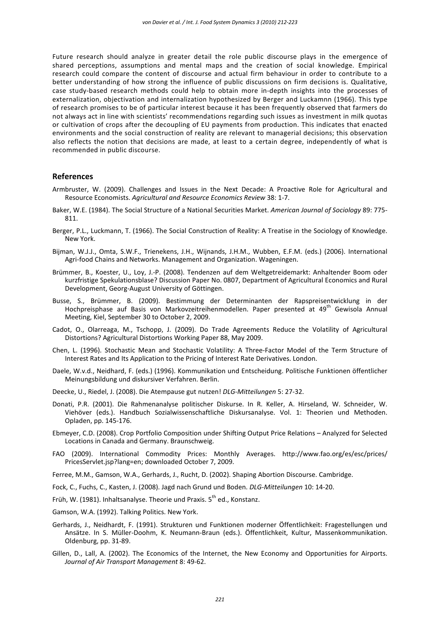Future research should analyze in greater detail the role public discourse plays in the emergence of shared perceptions, assumptions and mental maps and the creation of social knowledge. Empirical research could compare the content of discourse and actual firm behaviour in order to contribute to a better understanding of how strong the influence of public discussions on firm decisions is. Qualitative, case study-based research methods could help to obtain more in-depth insights into the processes of externalization, objectivation and internalization hypothesized by Berger and Luckamnn (1966). This type of research promises to be of particular interest because it has been frequently observed that farmers do not always act in line with scientists' recommendations regarding such issues as investment in milk quotas or cultivation of crops after the decoupling of EU payments from production. This indicates that enacted environments and the social construction of reality are relevant to managerial decisions; this observation also reflects the notion that decisions are made, at least to a certain degree, independently of what is recommended in public discourse.

#### **References**

- Armbruster, W. (2009). Challenges and Issues in the Next Decade: A Proactive Role for Agricultural and Resource Economists. *Agricultural and Resource Economics Review* 38: 1-7.
- Baker, W.E. (1984). The Social Structure of a National Securities Market. *American Journal of Sociology* 89: 775- 811.
- Berger, P.L., Luckmann, T. (1966). The Social Construction of Reality: A Treatise in the Sociology of Knowledge. New York.
- Bijman, W.J.J., Omta, S.W.F., Trienekens, J.H., Wijnands, J.H.M., Wubben, E.F.M. (eds.) (2006). International Agri-food Chains and Networks. Management and Organization. Wageningen.
- Brümmer, B., Koester, U., Loy, J.-P. (2008). Tendenzen auf dem Weltgetreidemarkt: Anhaltender Boom oder kurzfristige Spekulationsblase? Discussion Paper No. 0807, Department of Agricultural Economics and Rural Development, Georg-August University of Göttingen.
- Busse, S., Brümmer, B. (2009). Bestimmung der Determinanten der Rapspreisentwicklung in der Hochpreisphase auf Basis von Markovzeitreihenmodellen. Paper presented at 49<sup>th</sup> Gewisola Annual Meeting, Kiel, September 30 to October 2, 2009.
- Cadot, O., Olarreaga, M., Tschopp, J. (2009). Do Trade Agreements Reduce the Volatility of Agricultural Distortions? Agricultural Distortions Working Paper 88, May 2009.
- Chen, L. (1996). Stochastic Mean and Stochastic Volatility: A Three-Factor Model of the Term Structure of Interest Rates and Its Application to the Pricing of Interest Rate Derivatives. London.
- Daele, W.v.d., Neidhard, F. (eds.) (1996). Kommunikation und Entscheidung. Politische Funktionen öffentlicher Meinungsbildung und diskursiver Verfahren. Berlin.
- Deecke, U., Riedel, J. (2008). Die Atempause gut nutzen! *DLG-Mitteilungen* 5: 27-32.
- Donati, P.R. (2001). Die Rahmenanalyse politischer Diskurse. In R. Keller, A. Hirseland, W. Schneider, W. Viehöver (eds.). Handbuch Sozialwissenschaftliche Diskursanalyse. Vol. 1: Theorien und Methoden. Opladen, pp. 145-176.
- Ebmeyer, C.D. (2008). Crop Portfolio Composition under Shifting Output Price Relations Analyzed for Selected Locations in Canada and Germany. Braunschweig.
- FAO (2009). International Commodity Prices: Monthly Averages. http://www.fao.org/es/esc/prices/ PricesServlet.jsp?lang=en; downloaded October 7, 2009.
- Ferree, M.M., Gamson, W.A., Gerhards, J., Rucht, D. (2002). Shaping Abortion Discourse. Cambridge.
- Fock, C., Fuchs, C., Kasten, J. (2008). Jagd nach Grund und Boden. *DLG-Mitteilungen* 10: 14-20.
- Früh, W. (1981). Inhaltsanalyse. Theorie und Praxis. 5<sup>th</sup> ed., Konstanz.
- Gamson, W.A. (1992). Talking Politics. New York.
- Gerhards, J., Neidhardt, F. (1991). Strukturen und Funktionen moderner Öffentlichkeit: Fragestellungen und Ansätze. In S. Müller-Doohm, K. Neumann-Braun (eds.). Öffentlichkeit, Kultur, Massenkommunikation. Oldenburg, pp. 31-89.
- Gillen, D., Lall, A. (2002). The Economics of the Internet, the New Economy and Opportunities for Airports. *Journal of Air Transport Management* 8: 49-62.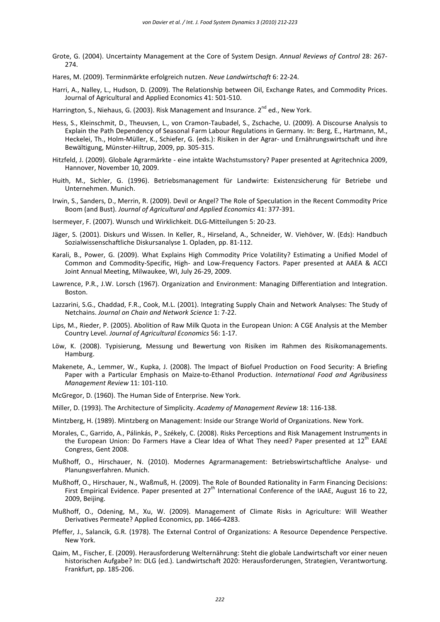- Grote, G. (2004). Uncertainty Management at the Core of System Design. *Annual Reviews of Control* 28: 267- 274.
- Hares, M. (2009). Terminmärkte erfolgreich nutzen. *Neue Landwirtschaft* 6: 22-24.
- Harri, A., Nalley, L., Hudson, D. (2009). The Relationship between Oil, Exchange Rates, and Commodity Prices. Journal of Agricultural and Applied Economics 41: 501-510.
- Harrington, S., Niehaus, G. (2003). Risk Management and Insurance. 2<sup>nd</sup> ed., New York.
- Hess, S., Kleinschmit, D., Theuvsen, L., von Cramon-Taubadel, S., Zschache, U. (2009). A Discourse Analysis to Explain the Path Dependency of Seasonal Farm Labour Regulations in Germany. In: Berg, E., Hartmann, M., Heckelei, Th., Holm-Müller, K., Schiefer, G. (eds.): Risiken in der Agrar- und Ernährungswirtschaft und ihre Bewältigung, Münster-Hiltrup, 2009, pp. 305-315.
- Hitzfeld, J. (2009). Globale Agrarmärkte eine intakte Wachstumsstory? Paper presented at Agritechnica 2009, Hannover, November 10, 2009.
- Huith, M., Sichler, G. (1996). Betriebsmanagement für Landwirte: Existenzsicherung für Betriebe und Unternehmen. Munich.
- Irwin, S., Sanders, D., Merrin, R. (2009). Devil or Angel? The Role of Speculation in the Recent Commodity Price Boom (and Bust). *Journal of Agricultural and Applied Economics* 41: 377-391.
- Isermeyer, F. (2007). Wunsch und Wirklichkeit. DLG-Mitteilungen 5: 20-23.
- Jäger, S. (2001). Diskurs und Wissen. In Keller, R., Hirseland, A., Schneider, W. Viehöver, W. (Eds): Handbuch Sozialwissenschaftliche Diskursanalyse 1. Opladen, pp. 81-112.
- Karali, B., Power, G. (2009). What Explains High Commodity Price Volatility? Estimating a Unified Model of Common and Commodity-Specific, High- and Low-Frequency Factors. Paper presented at AAEA & ACCI Joint Annual Meeting, Milwaukee, WI, July 26-29, 2009.
- Lawrence, P.R., J.W. Lorsch (1967). Organization and Environment: Managing Differentiation and Integration. Boston.
- Lazzarini, S.G., Chaddad, F.R., Cook, M.L. (2001). Integrating Supply Chain and Network Analyses: The Study of Netchains. *Journal on Chain and Network Science* 1: 7-22.
- Lips, M., Rieder, P. (2005). Abolition of Raw Milk Quota in the European Union: A CGE Analysis at the Member Country Level. *Journal of Agricultural Economics* 56: 1-17.
- Löw, K. (2008). Typisierung, Messung und Bewertung von Risiken im Rahmen des Risikomanagements. Hamburg.
- Makenete, A., Lemmer, W., Kupka, J. (2008). The Impact of Biofuel Production on Food Security: A Briefing Paper with a Particular Emphasis on Maize-to-Ethanol Production. *International Food and Agribusiness Management Review* 11: 101-110.
- McGregor, D. (1960). The Human Side of Enterprise. New York.
- Miller, D. (1993). The Architecture of Simplicity. *Academy of Management Review* 18: 116-138.
- Mintzberg, H. (1989). Mintzberg on Management: Inside our Strange World of Organizations. New York.
- Morales, C., Garrido, A., Pálinkás, P., Székely, C. (2008). Risks Perceptions and Risk Management Instruments in the European Union: Do Farmers Have a Clear Idea of What They need? Paper presented at 12th EAAE Congress, Gent 2008.
- Mußhoff, O., Hirschauer, N. (2010). Modernes Agrarmanagement: Betriebswirtschaftliche Analyse- und Planungsverfahren. Munich.
- Mußhoff, O., Hirschauer, N., Waßmuß, H. (2009). The Role of Bounded Rationality in Farm Financing Decisions: First Empirical Evidence. Paper presented at 27<sup>th</sup> International Conference of the IAAE, August 16 to 22, 2009, Beijing.
- Mußhoff, O., Odening, M., Xu, W. (2009). Management of Climate Risks in Agriculture: Will Weather Derivatives Permeate? Applied Economics, pp. 1466-4283.
- Pfeffer, J., Salancik, G.R. (1978). The External Control of Organizations: A Resource Dependence Perspective. New York.
- Qaim, M., Fischer, E. (2009). Herausforderung Welternährung: Steht die globale Landwirtschaft vor einer neuen historischen Aufgabe? In: DLG (ed.). Landwirtschaft 2020: Herausforderungen, Strategien, Verantwortung. Frankfurt, pp. 185-206.